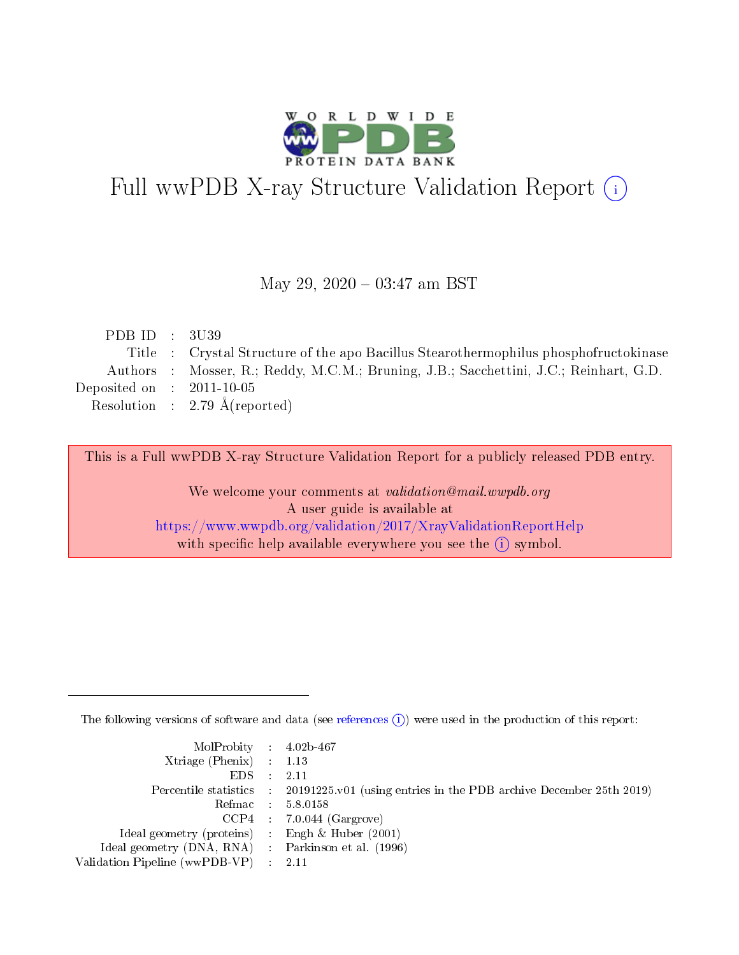

# Full wwPDB X-ray Structure Validation Report (i)

#### May 29, 2020 - 03:47 am BST

| PDB ID : $3U39$             |                                                                                       |
|-----------------------------|---------------------------------------------------------------------------------------|
|                             | Title : Crystal Structure of the apo Bacillus Stearothermophilus phosphofructokinase  |
|                             | Authors : Mosser, R.; Reddy, M.C.M.; Bruning, J.B.; Sacchettini, J.C.; Reinhart, G.D. |
| Deposited on : $2011-10-05$ |                                                                                       |
|                             | Resolution : 2.79 $\AA$ (reported)                                                    |
|                             |                                                                                       |

This is a Full wwPDB X-ray Structure Validation Report for a publicly released PDB entry.

We welcome your comments at validation@mail.wwpdb.org A user guide is available at <https://www.wwpdb.org/validation/2017/XrayValidationReportHelp> with specific help available everywhere you see the  $(i)$  symbol.

The following versions of software and data (see [references](https://www.wwpdb.org/validation/2017/XrayValidationReportHelp#references)  $(i)$ ) were used in the production of this report:

| $MolProbability$ 4.02b-467                          |                                                                                            |
|-----------------------------------------------------|--------------------------------------------------------------------------------------------|
| Xtriage (Phenix) $: 1.13$                           |                                                                                            |
| $EDS$ :                                             | -2.11                                                                                      |
|                                                     | Percentile statistics : 20191225.v01 (using entries in the PDB archive December 25th 2019) |
|                                                     | Refmac : 5.8.0158                                                                          |
|                                                     | $CCP4$ : 7.0.044 (Gargrove)                                                                |
| Ideal geometry (proteins) : Engh $\&$ Huber (2001)  |                                                                                            |
| Ideal geometry (DNA, RNA) : Parkinson et al. (1996) |                                                                                            |
| Validation Pipeline (wwPDB-VP)                      | -2.11                                                                                      |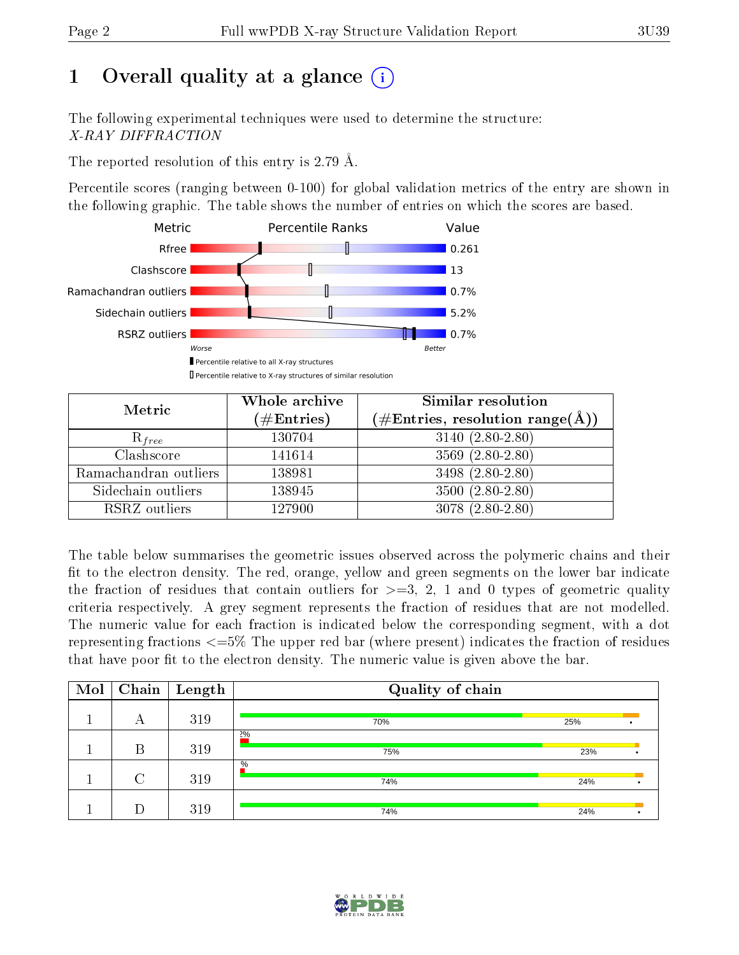# 1 [O](https://www.wwpdb.org/validation/2017/XrayValidationReportHelp#overall_quality)verall quality at a glance  $(i)$

The following experimental techniques were used to determine the structure: X-RAY DIFFRACTION

The reported resolution of this entry is 2.79 Å.

Percentile scores (ranging between 0-100) for global validation metrics of the entry are shown in the following graphic. The table shows the number of entries on which the scores are based.



| Metric                | Whole archive<br>$(\#\text{Entries})$ | Similar resolution<br>$(\#\text{Entries},\,\text{resolution}\,\,\text{range}(\textup{\AA}))$ |
|-----------------------|---------------------------------------|----------------------------------------------------------------------------------------------|
| $R_{free}$            | 130704                                | $3140(2.80-2.80)$                                                                            |
| Clashscore            | 141614                                | $3569(2.80-2.80)$                                                                            |
| Ramachandran outliers | 138981                                | $3498(2.80-2.80)$                                                                            |
| Sidechain outliers    | 138945                                | $3500(2.80-2.80)$                                                                            |
| RSRZ outliers         | 127900                                | $3078(2.80-2.80)$                                                                            |

The table below summarises the geometric issues observed across the polymeric chains and their fit to the electron density. The red, orange, yellow and green segments on the lower bar indicate the fraction of residues that contain outliers for  $>=3, 2, 1$  and 0 types of geometric quality criteria respectively. A grey segment represents the fraction of residues that are not modelled. The numeric value for each fraction is indicated below the corresponding segment, with a dot representing fractions  $\epsilon=5\%$  The upper red bar (where present) indicates the fraction of residues that have poor fit to the electron density. The numeric value is given above the bar.

| Mol |        | $\boxed{\text{Chain}}$ Length | Quality of chain |     |  |  |
|-----|--------|-------------------------------|------------------|-----|--|--|
|     | А      | 319                           | 70%              | 25% |  |  |
|     | В      | 319                           | 2%<br>75%        | 23% |  |  |
|     | $\cap$ | 319                           | $\%$<br>74%      | 24% |  |  |
|     |        | 319                           | 74%              | 24% |  |  |

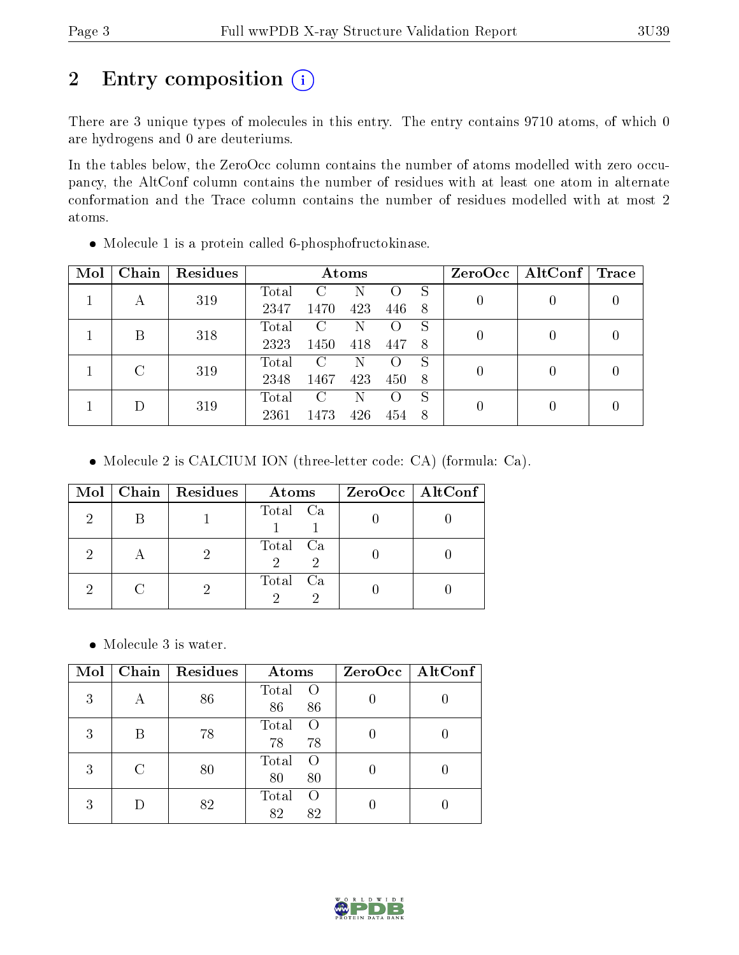# 2 Entry composition (i)

There are 3 unique types of molecules in this entry. The entry contains 9710 atoms, of which 0 are hydrogens and 0 are deuteriums.

In the tables below, the ZeroOcc column contains the number of atoms modelled with zero occupancy, the AltConf column contains the number of residues with at least one atom in alternate conformation and the Trace column contains the number of residues modelled with at most 2 atoms.

| Mol | Chain         | Residues | Atoms |      |     |     | ZeroOcc | $\mathbf{AltConf} \mid \mathbf{Trace}$ |  |  |
|-----|---------------|----------|-------|------|-----|-----|---------|----------------------------------------|--|--|
|     |               | 319      | Total | €    | N   |     | S       |                                        |  |  |
|     | А             |          | 2347  | 1470 | 423 | 446 | 8       |                                        |  |  |
|     | Β             | 318      | Total | C    | N   |     |         |                                        |  |  |
|     |               |          | 2323  | 1450 | 418 | 447 | 8       |                                        |  |  |
|     | $\mathcal{C}$ | 319      | Total | C    | N   |     | S       | 0                                      |  |  |
|     |               | 2348     | 1467  | 423  | 450 | -8  |         |                                        |  |  |
|     |               |          | Total | C    | N   |     | S       |                                        |  |  |
|     | 319           | 2361     | 1473  | 426  |     |     | 0       |                                        |  |  |

Molecule 1 is a protein called 6-phosphofructokinase.

Molecule 2 is CALCIUM ION (three-letter code: CA) (formula: Ca).

| Mol | Chain   Residues | Atoms                          | $ZeroOcc \mid AltConf \mid$ |
|-----|------------------|--------------------------------|-----------------------------|
|     |                  | Total Ca                       |                             |
|     |                  | Total Ca<br>$\mathcal{D}$<br>2 |                             |
|     |                  | Total Ca                       |                             |

Molecule 3 is water.

| Mol | Chain | Residues | Atoms                           | ZeroOcc   AltConf |
|-----|-------|----------|---------------------------------|-------------------|
| 3   | А     | 86       | Total<br>$\Omega$<br>86<br>86   |                   |
| 3   |       | 78       | Total<br>$\Omega$<br>78<br>78   |                   |
| 3   |       | 80       | Total<br>$\left($<br>80<br>80   |                   |
| 3   |       | 82       | Total<br>$\bigcirc$<br>82<br>82 |                   |

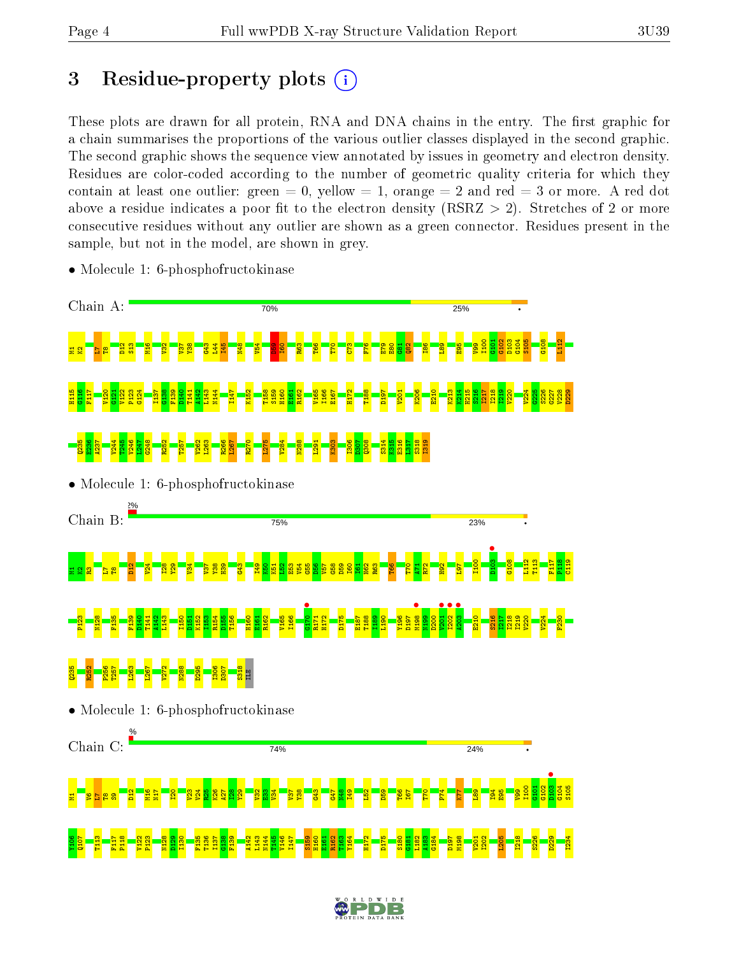# 3 Residue-property plots  $(i)$

These plots are drawn for all protein, RNA and DNA chains in the entry. The first graphic for a chain summarises the proportions of the various outlier classes displayed in the second graphic. The second graphic shows the sequence view annotated by issues in geometry and electron density. Residues are color-coded according to the number of geometric quality criteria for which they contain at least one outlier: green  $= 0$ , yellow  $= 1$ , orange  $= 2$  and red  $= 3$  or more. A red dot above a residue indicates a poor fit to the electron density (RSRZ  $> 2$ ). Stretches of 2 or more consecutive residues without any outlier are shown as a green connector. Residues present in the sample, but not in the model, are shown in grey.



• Molecule 1: 6-phosphofructokinase

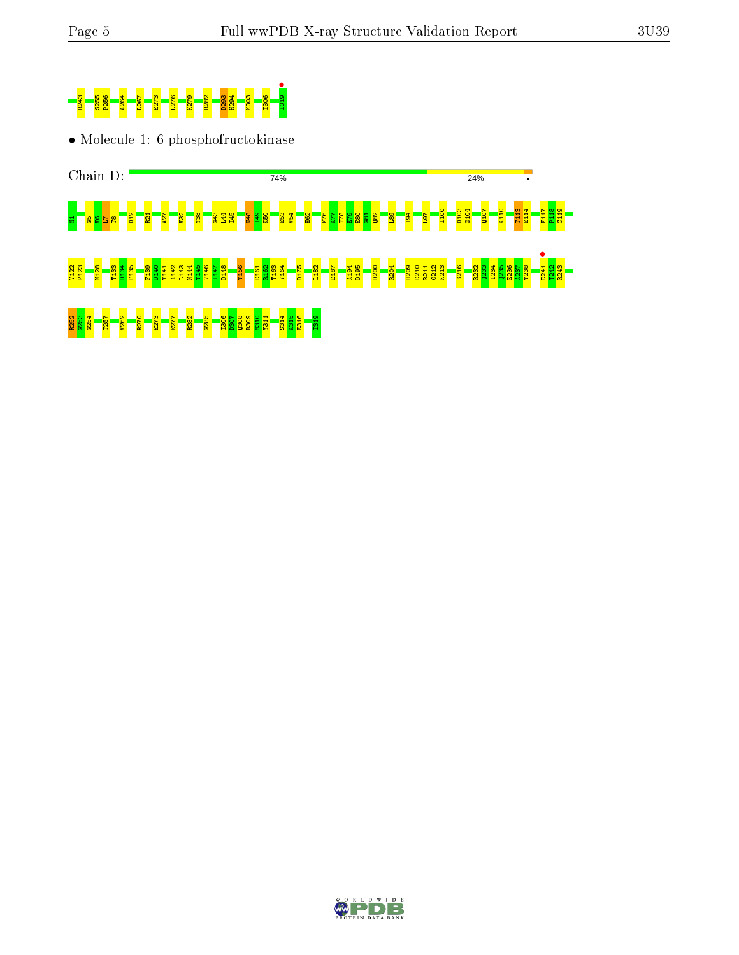

• Molecule 1: 6-phosphofructokinase



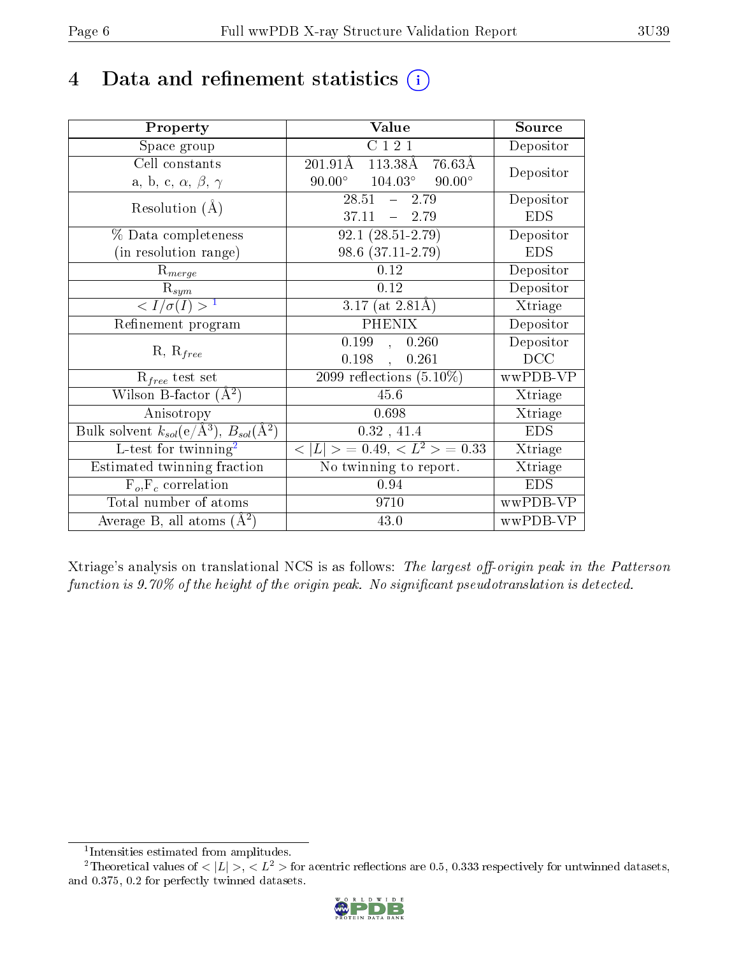# 4 Data and refinement statistics  $(i)$

| Property                                                             | Value                                                         | Source                       |
|----------------------------------------------------------------------|---------------------------------------------------------------|------------------------------|
| Space group                                                          | C121                                                          | Depositor                    |
| Cell constants                                                       | $201.91\text{\AA}$<br>$113.38\text{\AA}$<br>$76.63\text{\AA}$ | Depositor                    |
| a, b, c, $\alpha$ , $\beta$ , $\gamma$                               | $104.03^\circ$<br>$90.00^\circ$<br>$90.00^{\circ}$            |                              |
| Resolution $(A)$                                                     | 28.51<br>2.79<br>$\frac{1}{2}$                                | Depositor                    |
|                                                                      | 37.11<br>$-2.79$                                              | <b>EDS</b>                   |
| % Data completeness                                                  | $92.1(28.51-2.79)$                                            | Depositor                    |
| (in resolution range)                                                | 98.6 (37.11-2.79)                                             | <b>EDS</b>                   |
| $R_{merge}$                                                          | 0.12                                                          | Depositor                    |
| $\mathrm{R}_{sym}$                                                   | 0.12                                                          | Depositor                    |
| $\sqrt{I/\sigma(I)} > 1$                                             | 3.17 (at $2.81\text{\AA}$ )                                   | Xtriage                      |
| Refinement program                                                   | <b>PHENIX</b>                                                 | Depositor                    |
|                                                                      | 0.199,<br>0.260                                               | Depositor                    |
| $R, R_{free}$                                                        | 0.198<br>0.261<br>$\ddot{\phantom{a}}$                        | DCC                          |
| $R_{free}$ test set                                                  | 2099 reflections $(5.10\%)$                                   | wwPDB-VP                     |
| Wilson B-factor $(A^2)$                                              | 45.6                                                          | Xtriage                      |
| Anisotropy                                                           | 0.698                                                         | Xtriage                      |
| Bulk solvent $k_{sol}(e/\mathring{A}^3)$ , $B_{sol}(\mathring{A}^2)$ | 0.32, 41.4                                                    | <b>EDS</b>                   |
| $L$ -test for twinning <sup>2</sup>                                  | $< L >$ = 0.49, $< L2$ = 0.33                                 | Xtriage                      |
| Estimated twinning fraction                                          | No twinning to report.                                        | $\overline{\text{X}}$ triage |
| $\overline{F_o, F_c}$ correlation                                    | 0.94                                                          | <b>EDS</b>                   |
| Total number of atoms                                                | 9710                                                          | wwPDB-VP                     |
| Average B, all atoms $(A^2)$                                         | 43.0                                                          | wwPDB-VP                     |

Xtriage's analysis on translational NCS is as follows: The largest off-origin peak in the Patterson function is  $9.70\%$  of the height of the origin peak. No significant pseudotranslation is detected.

<sup>&</sup>lt;sup>2</sup>Theoretical values of  $\langle |L| \rangle$ ,  $\langle L^2 \rangle$  for acentric reflections are 0.5, 0.333 respectively for untwinned datasets, and 0.375, 0.2 for perfectly twinned datasets.



<span id="page-5-1"></span><span id="page-5-0"></span><sup>1</sup> Intensities estimated from amplitudes.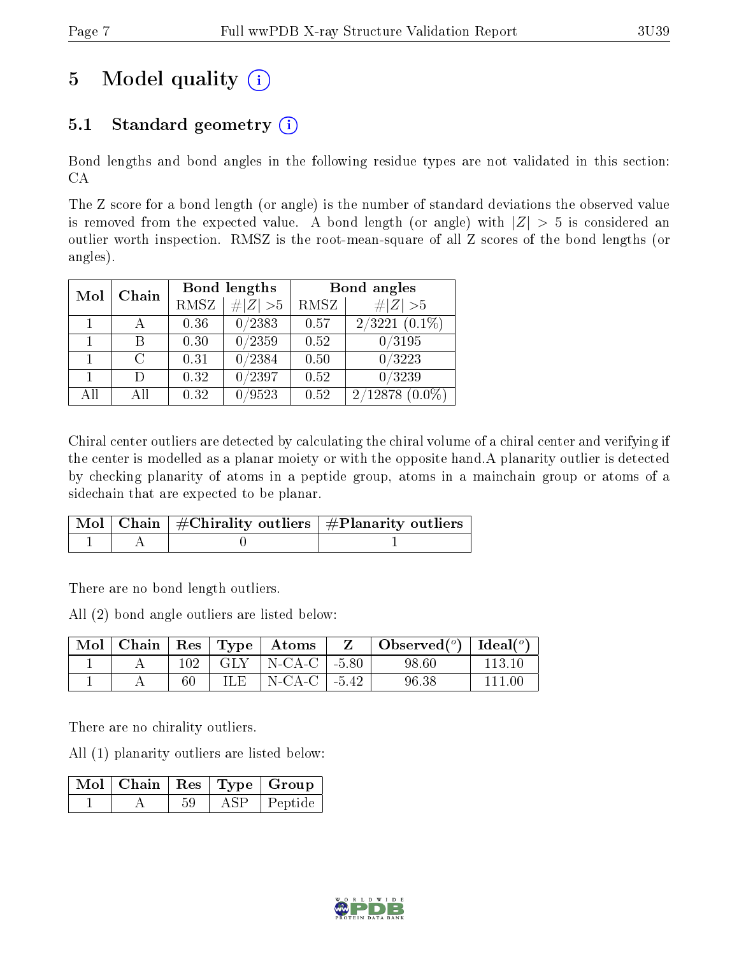# 5 Model quality  $(i)$

### 5.1 Standard geometry  $(i)$

Bond lengths and bond angles in the following residue types are not validated in this section: CA

The Z score for a bond length (or angle) is the number of standard deviations the observed value is removed from the expected value. A bond length (or angle) with  $|Z| > 5$  is considered an outlier worth inspection. RMSZ is the root-mean-square of all Z scores of the bond lengths (or angles).

| Mol | Chain  |             | Bond lengths    | Bond angles |                  |  |
|-----|--------|-------------|-----------------|-------------|------------------|--|
|     |        | <b>RMSZ</b> | $\# Z  > 5$     | RMSZ        | Z   > 5          |  |
|     |        | 0.36        | 0/2383          | 0.57        | $2/3221(0.1\%)$  |  |
|     |        | 0.30        | $\sqrt{0/2359}$ | 0.52        | 0/3195           |  |
|     | C      | 0.31        | 0/2384          | 0.50        | 0/3223           |  |
|     | $\Box$ | 0.32        | 0/2397          | 0.52        | $\sqrt{0/3239}$  |  |
| All | A 11   | 0.32        | 0/9523          | 0.52        | $2/12878(0.0\%)$ |  |

Chiral center outliers are detected by calculating the chiral volume of a chiral center and verifying if the center is modelled as a planar moiety or with the opposite hand.A planarity outlier is detected by checking planarity of atoms in a peptide group, atoms in a mainchain group or atoms of a sidechain that are expected to be planar.

|  | $\mid$ Mol $\mid$ Chain $\mid$ #Chirality outliers $\mid$ #Planarity outliers $^{\prime}$ |
|--|-------------------------------------------------------------------------------------------|
|  |                                                                                           |

There are no bond length outliers.

All (2) bond angle outliers are listed below:

|  |     |      | Mol   Chain   Res   Type   Atoms      | $\vert$ Observed $(^\circ)$ $\vert$ Ideal $(^\circ)$ |        |
|--|-----|------|---------------------------------------|------------------------------------------------------|--------|
|  | 102 |      | $\mid$ GLY $\mid$ N-CA-C $\mid$ -5.80 | 98.60                                                | 113 10 |
|  |     | ILE- | $\vert$ N-CA-C $\vert$ -5.42          | 96.38                                                | 111 M  |

There are no chirality outliers.

All (1) planarity outliers are listed below:

|  |     | $\mid$ Mol $\mid$ Chain $\mid$ Res $\mid$ Type $\mid$ Group |
|--|-----|-------------------------------------------------------------|
|  | ASP | Peptide                                                     |

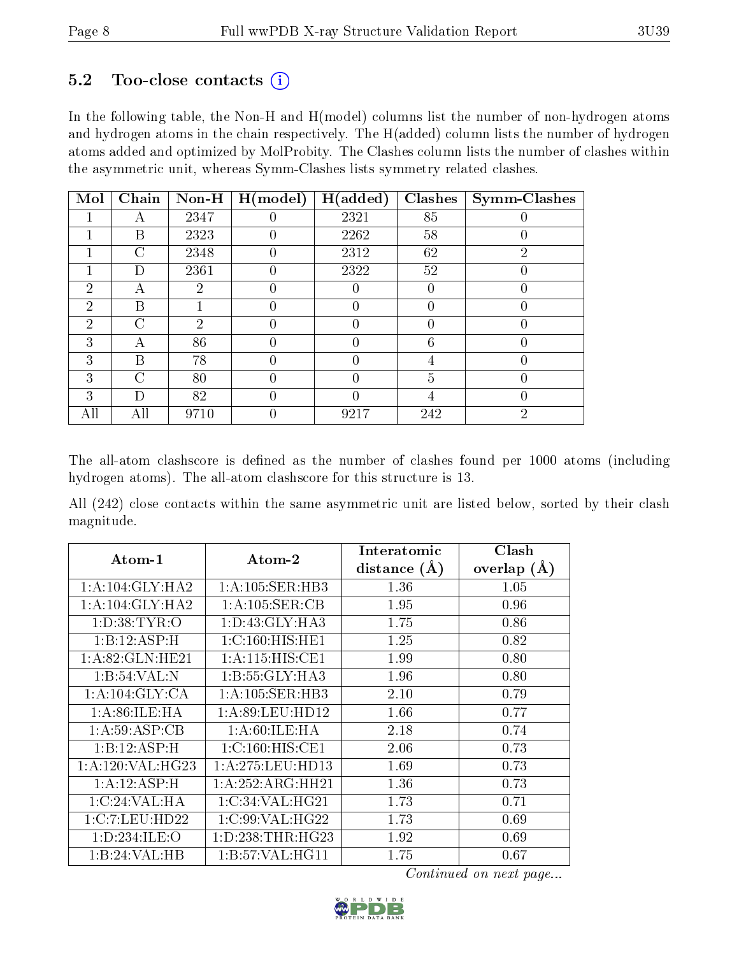### $5.2$  Too-close contacts  $(i)$

In the following table, the Non-H and H(model) columns list the number of non-hydrogen atoms and hydrogen atoms in the chain respectively. The H(added) column lists the number of hydrogen atoms added and optimized by MolProbity. The Clashes column lists the number of clashes within the asymmetric unit, whereas Symm-Clashes lists symmetry related clashes.

| Mol            | Chain          | $Non-H$        | H (model)        | H(added) | Clashes        | <b>Symm-Clashes</b> |
|----------------|----------------|----------------|------------------|----------|----------------|---------------------|
|                |                | 2347           |                  | 2321     | 85             |                     |
|                | В              | 2323           |                  | 2262     | 58             |                     |
|                | С              | 2348           |                  | 2312     | 62             | $\overline{2}$      |
|                | D              | 2361           | $\left( \right)$ | 2322     | 52             |                     |
| $\overline{2}$ | А              | 2              |                  |          | 0              |                     |
| $\overline{2}$ | Β              |                |                  |          | 0              |                     |
| $\overline{2}$ | $\mathcal{C}$  | $\overline{2}$ | $\left( \right)$ | 0        | 0              |                     |
| 3              | А              | 86             |                  | 0        | 6              |                     |
| 3              | В              | 78             |                  |          | 4              |                     |
| 3              | $\overline{C}$ | 80             | 0                | 0        | $\overline{5}$ |                     |
| 3              | D              | 82             |                  | O        | 4              |                     |
| All            | All            | 9710           |                  | 9217     | 242            | $\overline{2}$      |

The all-atom clashscore is defined as the number of clashes found per 1000 atoms (including hydrogen atoms). The all-atom clashscore for this structure is 13.

All (242) close contacts within the same asymmetric unit are listed below, sorted by their clash magnitude.

| Atom-1             | Atom-2               | Interatomic    | Clash         |  |
|--------------------|----------------------|----------------|---------------|--|
|                    |                      | distance $(A)$ | overlap $(A)$ |  |
| 1: A:104: GLY:HA2  | 1:A:105:SER:HB3      | 1.36           | 1.05          |  |
| 1: A:104: GLY:HA2  | 1: A: 105: SER: CB   | 1.95           | 0.96          |  |
| 1: D:38: TYR:O     | 1: D: 43: GLY: HA3   | 1.75           | 0.86          |  |
| 1:B:12:ASP:H       | 1: C: 160: HIS: HE1  | 1.25           | 0.82          |  |
| 1: A:82: GLN: HE21 | 1: A:115: HIS: CE1   | 1.99           | 0.80          |  |
| 1:B:54:VAL:N       | 1:B:55:GLY:HA3       | 1.96           | 0.80          |  |
| 1:A:104:GLY:CA     | 1: A:105: SER:HB3    | 2.10           | 0.79          |  |
| 1: A:86: ILE: HA   | 1: A:89: LEU: HD12   | 1.66           | 0.77          |  |
| 1: A:59: ASP:CB    | 1: A:60:ILE: HA      | 2.18           | 0.74          |  |
| 1:B:12:ASP:H       | 1:C:160:HIS:CE1      | 2.06           | 0.73          |  |
| 1: A:120: VAL:HG23 | 1: A:275:LEU:HD13    | 1.69           | 0.73          |  |
| 1:A:12:ASP:H       | 1:A:252:ARG:HH21     | 1.36           | 0.73          |  |
| 1:C:24:VAL:HA      | 1:C:34:VAL:HG21      | 1.73           | 0.71          |  |
| 1:C:7:LEU:HD22     | 1:C:99:VAL:HG22      | 1.73           | 0.69          |  |
| 1:D:234:ILE:O      | 1: D: 238: THR: HG23 | 1.92           | 0.69          |  |
| 1:B:24:VAL:HB      | 1:B:57:VAL:HG11      | 1.75           | 0.67          |  |

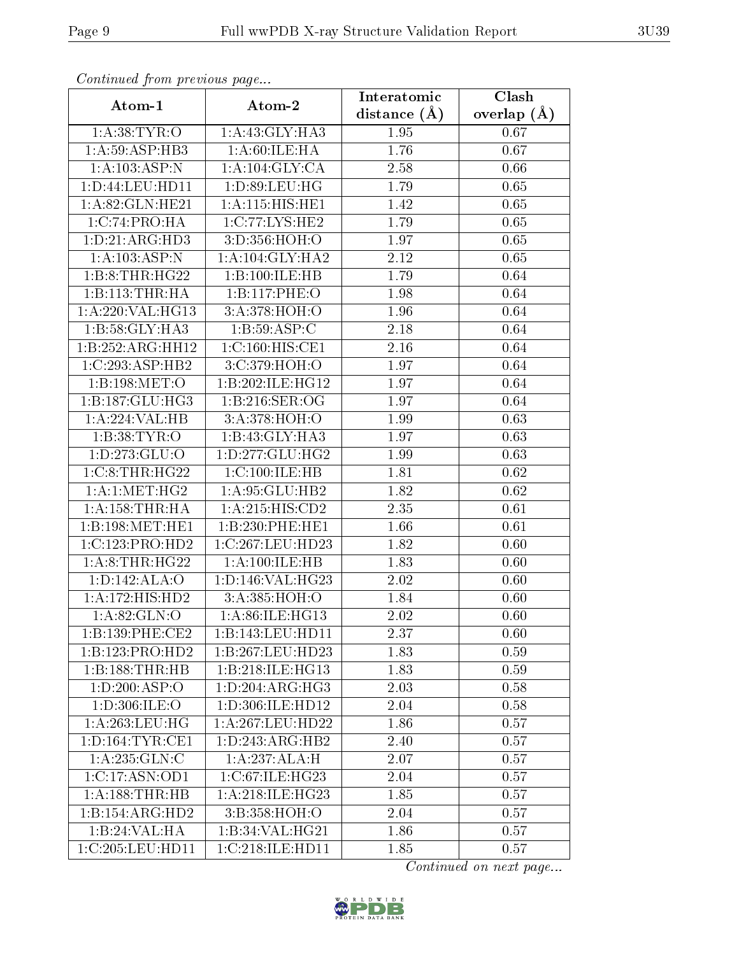| Communica from precious page     |                     | Interatomic    | Clash         |  |  |
|----------------------------------|---------------------|----------------|---------------|--|--|
| Atom-1                           | Atom-2              | distance $(A)$ | overlap $(A)$ |  |  |
| 1: A: 38: TYR: O                 | 1:A:43:GLY:HA3      | 1.95           | 0.67          |  |  |
| 1: A:59: ASP:HB3                 | 1: A:60:ILE: HA     | 1.76           | 0.67          |  |  |
| 1:A:103:ASP:N                    | 1: A:104: GLY: CA   | 2.58           | 0.66          |  |  |
| 1: D: 44: LEU: HD11              | 1: D:89: LEU: HG    | 1.79           | 0.65          |  |  |
| 1: A:82: GLN: HE21               | 1:A:115:HIS:HE1     | 1.42           | 0.65          |  |  |
| 1:C:74:PRO:HA                    | 1:C:77:LYS:HE2      | 1.79           | 0.65          |  |  |
| 1: D: 21: ARG: HD3               | 3:D:356:HOH:O       | 1.97           | 0.65          |  |  |
| 1: A: 103: ASP: N                | 1: A:104: GLY:HA2   | 2.12           | 0.65          |  |  |
| 1:B:8:THR:HG22                   | 1:B:100:ILE:HB      | 1.79           | 0.64          |  |  |
| 1:B:113:THR:HA                   | 1:B:117:PHE:O       | 1.98           | 0.64          |  |  |
| 1:A:220:VAL:HG13                 | 3:A:378:HOH:O       | 1.96           | 0.64          |  |  |
| 1:B:58:GLY:HA3                   | 1:B:59:ASP:C        | 2.18           | 0.64          |  |  |
| 1:B:252:ARG:HH12                 | 1:C:160:HIS:CE1     | 2.16           | 0.64          |  |  |
| 1:C:293:ASP:HB2                  | 3:C:379:HOH:O       | 1.97           | 0.64          |  |  |
| 1:B:198:MET:O                    | 1:B:202:ILE:HG12    | 1.97           | 0.64          |  |  |
| 1:B:187:GLU:HG3                  | 1:B:216:SER:OG      | 1.97           | 0.64          |  |  |
| 1:A:224:VAL:HB                   | 3:A:378:HOH:O       | 1.99           | 0.63          |  |  |
| 1:B:38:TYR:O                     | 1:B:43:GLY:HA3      | 1.97           | 0.63          |  |  |
| 1: D: 273: GLU:O                 | 1:D:277:GLU:HG2     | 1.99           | 0.63          |  |  |
| 1:C:8:THR:HG22                   | 1:C:100:ILE:HB      | 1.81           | 0.62          |  |  |
| 1:A:1:MET:HG2                    | 1:A:95:GLU:HB2      | 1.82           | 0.62          |  |  |
| 1: A: 158: THR: HA               | 1: A:215: HIS: CD2  | 2.35           | 0.61          |  |  |
| 1:B:198:MET:HE1                  | 1:B:230:PHE:HE1     | 1.66           | 0.61          |  |  |
| 1:C:123:PRO:HD2                  | 1:C:267:LEU:HD23    | 1.82           | 0.60          |  |  |
| 1:A:8:THR:HG22                   | 1: A: 100: ILE: HB  | 1.83           | 0.60          |  |  |
| 1: D: 142: ALA: O                | 1:D:146:VAL:HG23    | 2.02           | 0.60          |  |  |
| 1:A:172:HIS:HD2                  | 3:A:385:HOH:O       | 1.84           | 0.60          |  |  |
| 1:A:82:GLN:O                     | 1: A:86: ILE: HG13  | 2.02           | 0.60          |  |  |
| 1:B:139:PHE:CE2                  | 1:B:143:LEU:HD11    | 2.37           | 0.60          |  |  |
| 1:B:123:PRO:HD2                  | 1:B:267:LEU:HD23    | 1.83           | 0.59          |  |  |
| 1:B:188:THR:HB                   | 1:B:218:ILE:HG13    | 1.83           | 0.59          |  |  |
| 1:D:200:ASP:O                    | 1: D: 204: ARG: HG3 | 2.03           | 0.58          |  |  |
| 1: D:306: ILE: O                 | 1:D:306:ILE:HD12    | 2.04           | 0.58          |  |  |
| 1: A:263:LEU:HG                  | 1:A:267:LEU:HD22    | 1.86           | 0.57          |  |  |
| $1: D: 164: TYR: \overline{CE1}$ | 1:D:243:ARG:HB2     | 2.40           | 0.57          |  |  |
| 1: A: 235: GLN: C                | 1:A:237:ALA:H       | 2.07           | 0.57          |  |  |
| 1:C:17:ASN:OD1                   | 1:C:67:ILE:HG23     | 2.04           | 0.57          |  |  |
| 1: A: 188: THR: HB               | 1:A:218:ILE:HG23    | 1.85           | 0.57          |  |  |
| 1:B:154:ARG:HD2                  | 3:B:358:HOH:O       | 2.04           | 0.57          |  |  |
| 1:B:24:VAL:HA                    | 1:B:34:VAL:HG21     | 1.86           | 0.57          |  |  |
| 1:C:205:LEU:HD11                 | 1:C:218:ILE:HD11    | 1.85           | 0.57          |  |  |

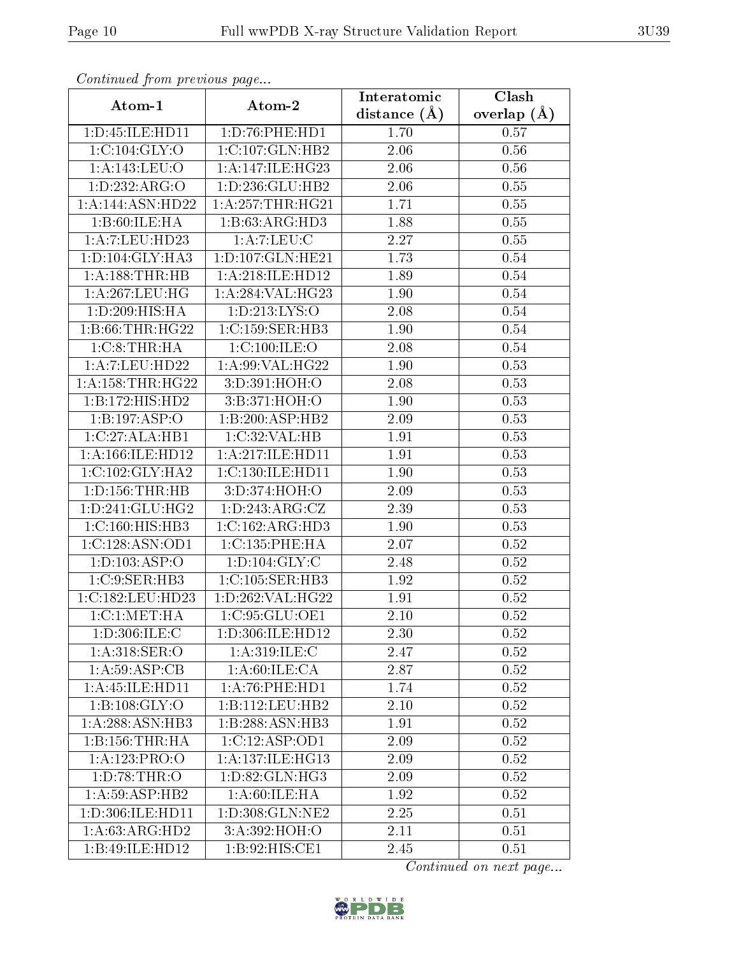| Comunaca jiom previous page |                                    | Interatomic       | Clash           |  |  |
|-----------------------------|------------------------------------|-------------------|-----------------|--|--|
| Atom-1                      | Atom-2                             | distance $(A)$    | overlap $(\AA)$ |  |  |
| 1:D:45:ILE:HD11             | 1: D: 76: PHE: HD1                 | 1.70              | 0.57            |  |  |
| 1:C:104:GLY:O               | 1:C:107:GLN:HB2                    | $\overline{2.06}$ | 0.56            |  |  |
| 1:A:143:LEU:O               | $1:A:147:ILE:H\overline{G23}$      | 2.06              | 0.56            |  |  |
| 1:D:232:ARG:O               | 1: D: 236: GLU: HB2                | 2.06              | 0.55            |  |  |
| 1:A:144:ASN:HD22            | 1:A:257:THR:HG21                   | 1.71              | 0.55            |  |  |
| 1:B:60:ILE:HA               | 1:B:63:ARG:HD3                     | 1.88              | 0.55            |  |  |
| 1:A:7:LEU:HD23              | 1: A: 7: LEU: C                    | 2.27              | 0.55            |  |  |
| 1: D: 104: GLY: HA3         | 1: D: 107: GLN: HE21               | 1.73              | 0.54            |  |  |
| 1:A:188:THR:HB              | 1:A:218:ILE:HD12                   | 1.89              | 0.54            |  |  |
| 1: A:267:LEU:HG             | 1:A:284:VAL:HG23                   | 1.90              | 0.54            |  |  |
| 1: D:209: HIS: HA           | 1:D:213:LYS:O                      | 2.08              | 0.54            |  |  |
| 1:B:66:THR:HG22             | 1: C: 159: SER: HB3                | 1.90              | 0.54            |  |  |
| 1: C:8: THR:HA              | 1:C:100:ILE:O                      | 2.08              | 0.54            |  |  |
| 1:A:7:LEU:HD22              | 1:A:99:VAL:HG22                    | 1.90              | 0.53            |  |  |
| 1: A: 158: THR: HG22        | 3:D:391:HOH:O                      | 2.08              | 0.53            |  |  |
| 1:B:172:HIS:HD2             | 3:B:371:HOH:O                      | 1.90              | 0.53            |  |  |
| 1:B:197:ASP:O               | 1:B:200:ASP:HB2                    | 2.09              | 0.53            |  |  |
| 1:C:27:ALA:HB1              | 1:C:32:VAL:HB                      | 1.91              | 0.53            |  |  |
| 1:A:166:ILE:HD12            | 1:A:217:ILE:HD11                   | $\overline{1.9}1$ | 0.53            |  |  |
| 1:C:102:GLY:HA2             | 1:C:130:ILE:HD11                   | 1.90              | 0.53            |  |  |
| 1: D: 156: THR: HB          | 3:D:374:HOH:O                      | 2.09              | 0.53            |  |  |
| 1:D:241:GLU:HG2             | $1: D: 243: \overline{\rm ARG:CZ}$ | 2.39              | 0.53            |  |  |
| 1: C: 160: HIS: HB3         | 1:C:162:ARG:HD3                    | 1.90              | 0.53            |  |  |
| 1:C:128:ASN:OD1             | 1:C:135:PHE:HA                     | 2.07              | 0.52            |  |  |
| 1:D:103:ASP:O               | 1: D: 104: GLY: C                  | 2.48              | 0.52            |  |  |
| 1:C:9:SER:HB3               | 1:C:105:SER:HB3                    | 1.92              | $0.52\,$        |  |  |
| 1:C:182:LEU:HD23            | 1:D:262:VAL:HG22                   | 1.91              | 0.52            |  |  |
| 1:C:1:MET:HA                | 1:C:95:GLU:OE1                     | 2.10              | 0.52            |  |  |
| 1:D:306:ILE:C               | 1:D:306:ILE:HD12                   | 2.30              | 0.52            |  |  |
| 1:A:318:SER:O               | 1:A:319:ILE:C                      | 2.47              | 0.52            |  |  |
| 1: A:59: ASP:CB             | 1: A:60:ILE: CA                    | 2.87              | 0.52            |  |  |
| 1:A:45:ILE:HD11             | $1:$ A:76:PHE:HD1                  | 1.74              | 0.52            |  |  |
| 1: B: 108: GLY:O            | 1:B:112:LEU:HB2                    | 2.10              | 0.52            |  |  |
| 1:A:288:ASN:HB3             | 1:B:288:ASN:HB3                    | 1.91              | 0.52            |  |  |
| 1:B:156:THR:HA              | 1:C:12:ASP:OD1                     | 2.09              | 0.52            |  |  |
| 1:A:123:PRO:O               | 1:A:137:ILE:HG13                   | 2.09              | 0.52            |  |  |
| 1: D:78:THR:O               | 1:D:82:GLN:HG3                     | 2.09              | 0.52            |  |  |
| 1:A:59:ASP:HB2              | 1: A:60: ILE: HA                   | 1.92              | 0.52            |  |  |
| 1:D:306:ILE:HD11            | 1: D: 308: GLN: NE2                | 2.25              | 0.51            |  |  |
| 1: A:63: ARG:HD2            | 3:A:392:HOH:O                      | 2.11              | 0.51            |  |  |
| 1:B:49:ILE:HD12             | 1:B:92:HIS:CE1                     | 2.45              | 0.51            |  |  |

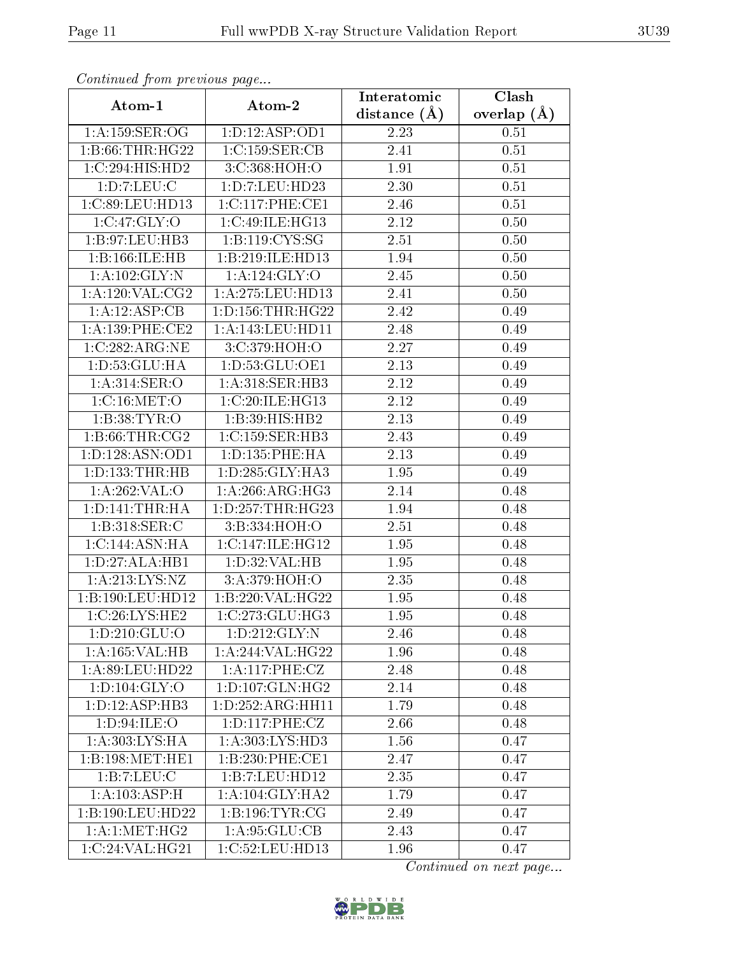| Communica from precious page |                                    | Interatomic    | Clash           |  |
|------------------------------|------------------------------------|----------------|-----------------|--|
| Atom-1                       | Atom-2                             | distance $(A)$ | overlap $(\AA)$ |  |
| 1:A:159:SER:OG               | 1: D: 12: ASP: OD1                 | 2.23           | 0.51            |  |
| 1: B:66:THR:HG22             | $1:C:159:\overline{\text{SER}:CB}$ | 2.41           | 0.51            |  |
| 1:C:294:HIS:HD2              | 3:C:368:HOH:O                      | 1.91           | 0.51            |  |
| 1: D: 7: LEU: C              | 1: D: 7: LEU: HD23                 | 2.30           | 0.51            |  |
| 1:C:89:LEU:HD13              | 1:C:117:PHE:CE1                    | 2.46           | 0.51            |  |
| 1:C:47:GLY:O                 | 1:C:49:ILE:HG13                    | 2.12           | 0.50            |  |
| 1:B:97:LEU:HB3               | 1: B: 119: CYS: SG                 | 2.51           | 0.50            |  |
| 1:B:166:ILE:HB               | 1:B:219:ILE:HD13                   | 1.94           | 0.50            |  |
| 1:A:102:GLY:N                | 1:A:124:GLY:O                      | 2.45           | 0.50            |  |
| 1: A: 120: VAL: CG2          | 1: A:275: LEU: HD13                | 2.41           | 0.50            |  |
| 1:A:12:ASP:CB                | 1: D: 156: THR: HG22               | 2.42           | 0.49            |  |
| 1:A:139:PHE:CE2              | 1:A:143:LEU:HDI1                   | 2.48           | 0.49            |  |
| 1:C:282:ARG:NE               | 3:C:379:HOH:O                      | 2.27           | 0.49            |  |
| 1: D: 53: GLU: HA            | 1:D:53:GLU:OE1                     | 2.13           | 0.49            |  |
| 1: A:314: SER:O              | 1:A:318:SER:HB3                    | 2.12           | 0.49            |  |
| 1:C:16:MET:O                 | 1:C:20:ILE:HG13                    | 2.12           | 0.49            |  |
| 1:B:38:TYR:O                 | 1:B:39:HIS:HB2                     | 2.13           | 0.49            |  |
| 1: B:66:THR:CG2              | 1: C: 159: SER: HB3                | 2.43           | 0.49            |  |
| 1: D: 128: ASN: OD1          | 1: D: 135: PHE: HA                 | 2.13           | 0.49            |  |
| 1: D: 133: THR: HB           | 1: D: 285: GLY: HA3                | 1.95           | 0.49            |  |
| 1:A:262:VAL:O                | 1: A:266:ARG:HG3                   | 2.14           | 0.48            |  |
| 1: D: 141: THR: HA           | 1: D: 257: THR: HG23               | 1.94           | 0.48            |  |
| 1: B:318: SER: C             | 3:B:334:HOH:O                      | 2.51           | 0.48            |  |
| 1:C:144:ASN:HA               | 1:C:147:ILE:HG12                   | 1.95           | 0.48            |  |
| 1:D:27:ALA:HB1               | 1:D:32:VAL:HB                      | 1.95           | 0.48            |  |
| 1:A:213:LYS:NZ               | 3:A:379:HOH:O                      | 2.35           | 0.48            |  |
| 1:B:190:LEU:HD12             | 1:B:220:VAL:HG22                   | 1.95           | 0.48            |  |
| 1:C:26:LYS:HE2               | 1:C:273:CLU:HG3                    | 1.95           | 0.48            |  |
| 1: D: 210: GLU:O             | 1:D:212:GLY:N                      | 2.46           | 0.48            |  |
| 1:A:165:VAL:HB               | 1:A:244:VAL:HG22                   | 1.96           | 0.48            |  |
| 1:A:89:LEU:HD22              | 1:A:117:PHE:CZ                     | 2.48           | 0.48            |  |
| 1: D: 104: GLY: O            | 1:D:107:GLN:HG2                    | 2.14           | 0.48            |  |
| 1: D: 12: ASP: HB3           | 1: D: 252: ARG: HH11               | 1.79           | 0.48            |  |
| 1: D:94: ILE: O              | 1: D: 117: PHE: CZ                 | 2.66           | 0.48            |  |
| 1:A:303:LYS:HA               | 1:A:303:LYS:HD3                    | 1.56           | 0.47            |  |
| 1:B:198:MET:HE1              | 1:B:230:PHE:CE1                    | 2.47           | 0.47            |  |
| 1:B:7:LEU:C                  | 1:B:7:LEU:HD12                     | 2.35           | 0.47            |  |
| 1: A: 103: ASP:H             | 1:A:104:GLY:HA2                    | 1.79           | 0.47            |  |
| 1:B:190:LEU:HD22             | 1: B: 196: TYR: CG                 | 2.49           | 0.47            |  |
| 1: A:1: MET:HG2              | 1: A:95: GLU:CB                    | 2.43           | 0.47            |  |
| 1:C:24:VAL:HG21              | 1:C:52:LEU:HD13                    | 1.96           | 0.47            |  |

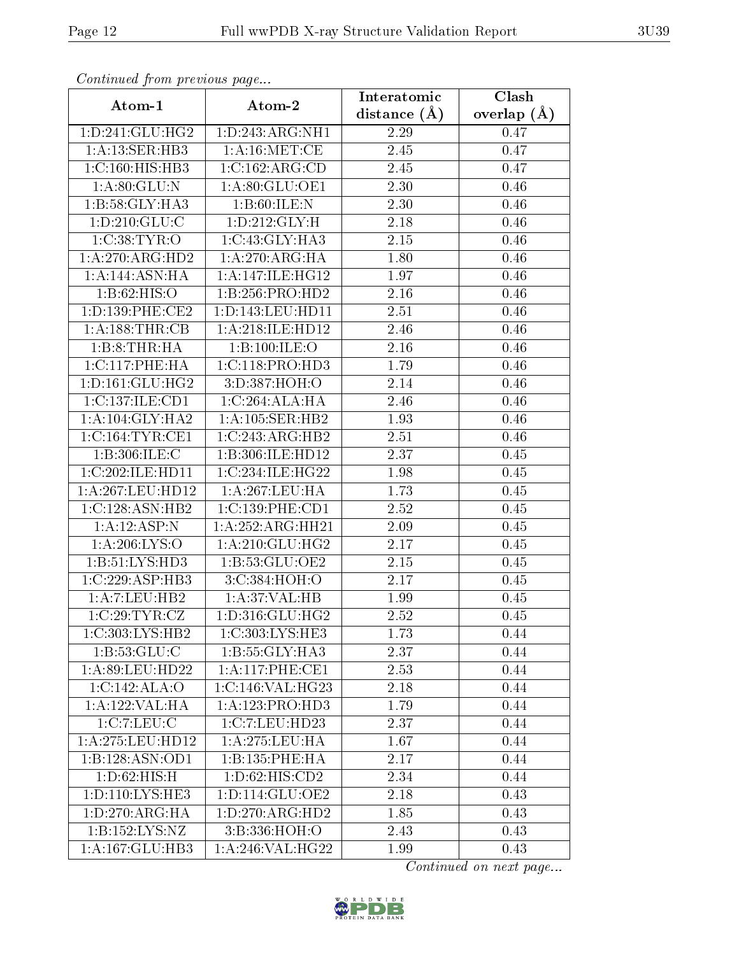| Commuca from previous page  |                                     | Interatomic    | Clash           |  |  |
|-----------------------------|-------------------------------------|----------------|-----------------|--|--|
| Atom-1                      | Atom-2                              | distance $(A)$ | overlap $(\AA)$ |  |  |
| 1: D: 241: GLU: HG2         | 1:D:243:ARG:NH1                     | 2.29           | 0.47            |  |  |
| 1:A:13:SER:HB3              | 1: A:16: MET:CE                     | 2.45           | 0.47            |  |  |
| 1: C: 160: HIS: HB3         | 1:C:162:ARG:CD                      | 2.45           | 0.47            |  |  |
| 1: A:80: GLU:N              | 1:A:80:GLU:OE1                      | 2.30           | 0.46            |  |  |
| $1:B:58:GLY:\overline{HAS}$ | 1: B:60: ILE:N                      | 2.30           | 0.46            |  |  |
| 1: D: 210: GLU: C           | 1:D:212:GLY:H                       | 2.18           | 0.46            |  |  |
| 1:C:38:TYR:O                | 1:C:43:GLY:HA3                      | 2.15           | 0.46            |  |  |
| 1:A:270:ARG:HD2             | 1: A:270:ARG:HA                     | 1.80           | 0.46            |  |  |
| 1:A:144:ASN:HA              | 1: A:147: ILE: HG12                 | 1.97           | 0.46            |  |  |
| 1: B:62: HIS:O              | 1:B:256:PRO:HD2                     | 2.16           | 0.46            |  |  |
| 1: D: 139: PHE: CE2         | 1:D:143:LEU:HD11                    | 2.51           | 0.46            |  |  |
| 1: A: 188: THR: CB          | 1:A:218:ILE:HD12                    | 2.46           | 0.46            |  |  |
| 1:B:8:THR:HA                | 1:B:100:ILE:O                       | 2.16           | 0.46            |  |  |
| 1: C: 117: PHE: HA          | 1: C: 118: PRO: HD3                 | 1.79           | 0.46            |  |  |
| 1: D: 161: GLU: HG2         | 3:D:387:HOH:O                       | 2.14           | 0.46            |  |  |
| 1:C:137:ILE:CD1             | 1:C:264:ALA:HA                      | 2.46           | 0.46            |  |  |
| 1: A:104: GLY:HA2           | 1:A:105:SER:HB2                     | 1.93           | 0.46            |  |  |
| 1:C:164:TYR:CE1             | 1:C:243:ARG:HB2                     | 2.51           | 0.46            |  |  |
| 1: B: 306: ILE:C            | 1:B:306:ILE:HD12                    | 2.37           | 0.45            |  |  |
| 1:C:202:ILE:HD11            | 1:C:234:ILE:HG22                    | 1.98           | 0.45            |  |  |
| 1:A:267:LEU:HD12            | 1:A:267:LEU:HA                      | 1.73           | 0.45            |  |  |
| 1:C:128:ASN:HB2             | 1:C:139:PHE:CD1                     | 2.52           | 0.45            |  |  |
| 1:A:12:ASP:N                | 1:A:252:ARG:HH21                    | 2.09           | 0.45            |  |  |
| 1: A:206: LYS:O             | 1: A:210: GLU: HG2                  | 2.17           | 0.45            |  |  |
| 1: B: 51: LYS: HD3          | 1:B:53:GLU:OE2                      | 2.15           | 0.45            |  |  |
| 1:C:229:ASP:HB3             | 3:C:384:HOH:O                       | 2.17           | 0.45            |  |  |
| 1:A:7:LEU:HB2               | 1: A:37: VAL:HB                     | 1.99           | 0.45            |  |  |
| 1:C:29:TYR:CZ               | 1: D: 316: GLU: HG2                 | 2.52           | 0.45            |  |  |
| 1:C:303:LYS:HB2             | 1:C:303:LYS:HE3                     | 1.73           | 0.44            |  |  |
| 1: B: 53: GLU: C            | 1:B:55:GLY:HA3                      | 2.37           | 0.44            |  |  |
| 1:A:89:LEU:HD22             | $1:A:117:PHE:\overline{\text{CE1}}$ | 2.53           | 0.44            |  |  |
| 1:C:142:ALA:O               | 1:C:146:VAL:HG23                    | 2.18           | 0.44            |  |  |
| 1:A:122:VAL:HA              | 1:A:123:PRO:HD3                     | 1.79           | 0.44            |  |  |
| 1:C:7:LEU:C                 | 1:C:7:LEU:HD23                      | 2.37           | 0.44            |  |  |
| 1:A:275:LEU:HD12            | 1: A:275:LEU:HA                     | 1.67           | 0.44            |  |  |
| 1:B:128:ASN:OD1             | 1:B:135:PHE:HA                      | 2.17           | 0.44            |  |  |
| 1: D:62: HIS:H              | 1: D:62: HIS: CD2                   | 2.34           | 0.44            |  |  |
| 1: D: 110: LYS: HE3         | 1: D: 114: GLU: OE2                 | 2.18           | 0.43            |  |  |
| 1: D: 270: ARG: HA          | 1: D: 270: ARG: HD2                 | 1.85           | 0.43            |  |  |
| 1:B:152:LYS:NZ              | 3:B:336:HOH:O                       | 2.43           | 0.43            |  |  |
| 1:A:167:GLU:HB3             | 1:A:246:VAL:HG22                    | 1.99           | 0.43            |  |  |

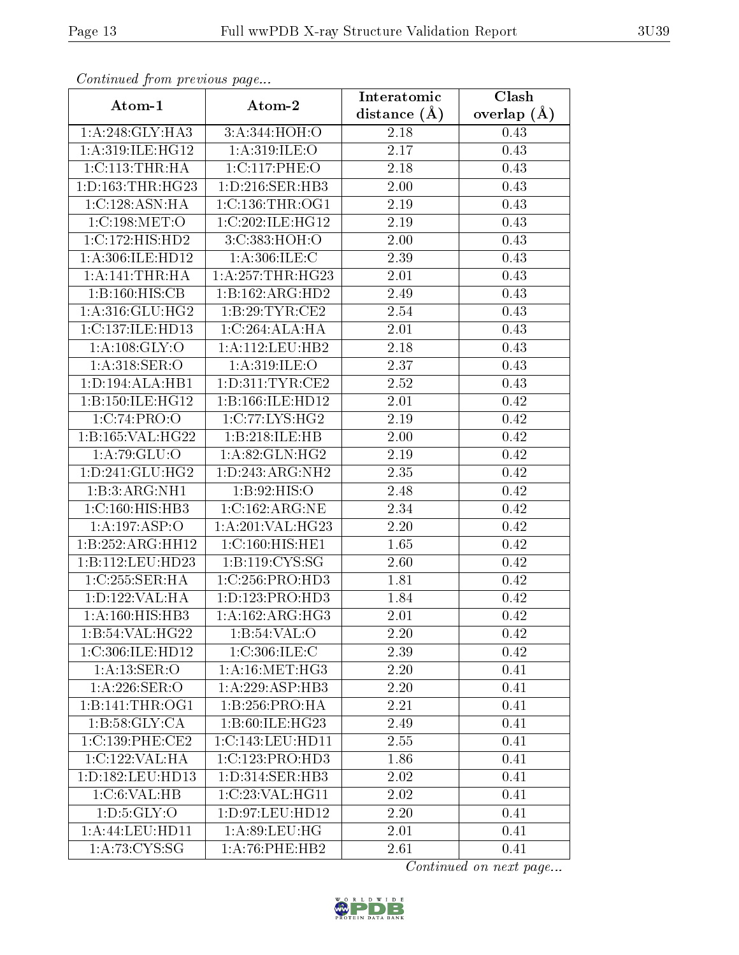| Commuca from previous page |                              | Interatomic       | Clash           |  |  |
|----------------------------|------------------------------|-------------------|-----------------|--|--|
| Atom-1                     | Atom-2                       | distance $(A)$    | overlap $(\AA)$ |  |  |
| 1: A:248: GLY:HA3          | 3:A:344:HOH:O                | 2.18              | 0.43            |  |  |
| 1:A:319:ILE:HG12           | 1: A:319: ILE:O              | 2.17              | 0.43            |  |  |
| 1:C:113:THR:HA             | 1:C:117:PHE:O                | 2.18              | 0.43            |  |  |
| 1: D: 163: THR: HG23       | 1: D: 216: SER: HB3          | 2.00              | 0.43            |  |  |
| 1:C:128:ASN:HA             | 1:C:136:THR:OG1              | 2.19              | 0.43            |  |  |
| 1:C:198:MET:O              | 1:C:202:ILE:HG12             | 2.19              | 0.43            |  |  |
| 1:C:172:HIS:HD2            | 3:C:383:HOH:O                | 2.00              | 0.43            |  |  |
| 1:A:306:ILE:HD12           | 1: A:306: ILE:C              | 2.39              | 0.43            |  |  |
| 1: A:141:THR:HA            | 1: A:257:THR:HG23            | 2.01              | 0.43            |  |  |
| 1:B:160:HIS:CB             | 1:B:162:ARG:HD2              | 2.49              | 0.43            |  |  |
| 1: A:316: GLU: HG2         | 1:B:29:TYR:CE2               | 2.54              | 0.43            |  |  |
| 1:C:137:ILE:HD13           | 1:C:264:ALA:HA               | 2.01              | 0.43            |  |  |
| 1: A:108: GLY:O            | 1:A:112:LEU:HB2              | 2.18              | 0.43            |  |  |
| 1:A:318:SER:O              | 1:A:319:ILE:O                | 2.37              | 0.43            |  |  |
| 1:D:194:ALA:HB1            | 1: D: 311: TYR: CE2          | 2.52              | 0.43            |  |  |
| $1:$ B:150:ILE:HG12        | 1:B:166:ILE:HD12             | 2.01              | 0.42            |  |  |
| 1:C:74:PRO:O               | 1:C:77:LYS:HG2               | 2.19              | 0.42            |  |  |
| 1:B:165:VAL:HG22           | 1:B:218:ILE:HB               | 2.00              | 0.42            |  |  |
| 1:A:79:GLU:O               | 1: A:82: GLN: HG2            | 2.19              | 0.42            |  |  |
| 1: D: 241: GLU: HG2        | 1:D:243:ARG:NH2              | 2.35              | 0.42            |  |  |
| 1:B:3:ARG:NH1              | 1: B:92: HIS:O               | $\overline{2}.48$ | 0.42            |  |  |
| 1:C:160:HIS:HB3            | 1:C:162:ARG:NE               | 2.34              | 0.42            |  |  |
| 1:A:197:ASP:O              | 1:A:201:VAL:HG23             | 2.20              | 0.42            |  |  |
| 1:B:252:ARG:HH12           | 1:C:160:HIS:HE1              | 1.65              | 0.42            |  |  |
| 1:B:112:LEU:HD23           | 1:B:119:CYS:SG               | 2.60              | 0.42            |  |  |
| 1:C:255:SER:HA             | 1:C:256:PRO:HD3              | 1.81              | 0.42            |  |  |
| 1: D: 122: VAL: HA         | 1: D: 123: PRO: HD3          | 1.84              | 0.42            |  |  |
| 1: A:160:HIS:HB3           | $1:A:162:ARG:H\overline{G3}$ | 2.01              | 0.42            |  |  |
| 1:B:54:VAL:HG22            | 1:B:54:VAL:O                 | 2.20              | 0.42            |  |  |
| 1:C:306:ILE:HD12           | 1:C:306:ILE:C                | 2.39              | 0.42            |  |  |
| 1:A:13:SER:O               | 1: A:16:MET:HG3              | 2.20              | 0.41            |  |  |
| 1: A:226: SER:O            | 1:A:229:ASP:HB3              | 2.20              | 0.41            |  |  |
| 1: B:141: THE:OG1          | 1: B: 256: PRO: HA           | 2.21              | 0.41            |  |  |
| 1:B:58:GLY:CA              | 1:B:60:ILE:HG23              | 2.49              | 0.41            |  |  |
| 1:C:139:PHE:CE2            | 1:C:143:LEU:HD11             | 2.55              | 0.41            |  |  |
| 1:C:122:VAL:HA             | 1:C:123:PRO:HD3              | 1.86              | 0.41            |  |  |
| 1:D:182:LEU:HD13           | 1:D:314:SER:HB3              | 2.02              | 0.41            |  |  |
| 1:C:6:VAL:HB               | 1:C:23:VAL:HG11              | 2.02              | 0.41            |  |  |
| 1: D: 5: GLY: O            | 1: D:97: LEU: HD12           | 2.20              | 0.41            |  |  |
| 1:A:44:LEU:HDI1            | 1: A:89: LEU: HG             | 2.01              | 0.41            |  |  |
| 1: A: 73: CYS:SG           | 1: A:76:PHE:HB2              | 2.61              | 0.41            |  |  |

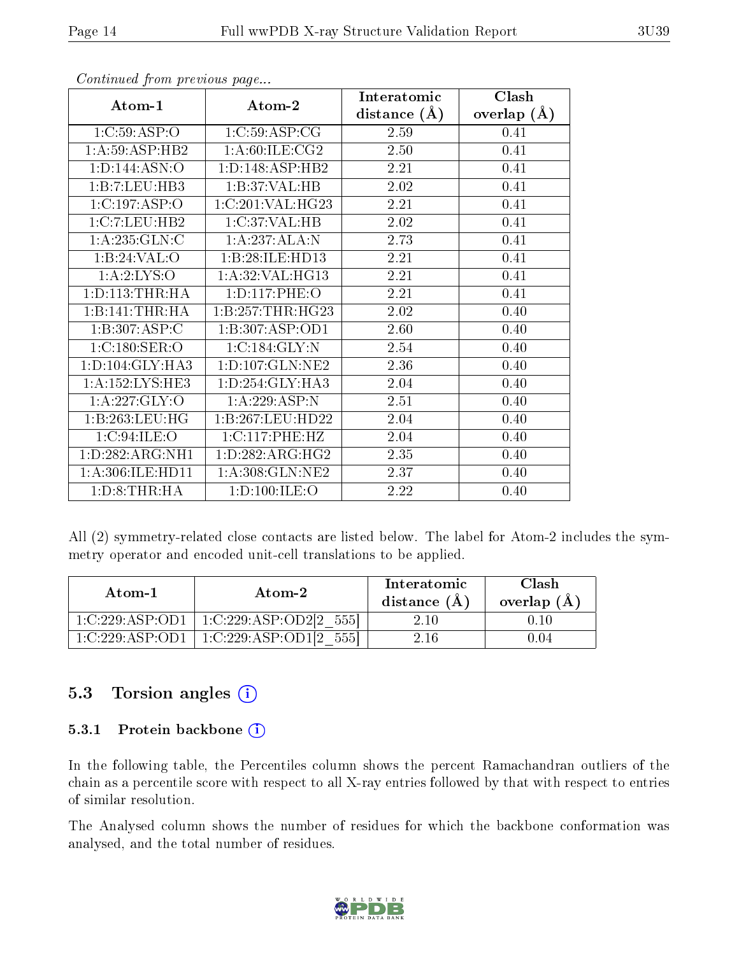|                            |                                  | Interatomic    | Clash         |  |
|----------------------------|----------------------------------|----------------|---------------|--|
| Atom-1                     | Atom-2                           | distance $(A)$ | overlap $(A)$ |  |
| 1:C:59:ASP:O               | 1:C:59:ASP:CG                    | 2.59           | 0.41          |  |
| 1: A:59: ASP:HB2           | 1: A:60: ILE: CG2                | 2.50           | 0.41          |  |
| 1: D: 144: ASN: O          | 1: D: 148: ASP: HB2              | 2.21           | 0.41          |  |
| 1:B:7:LEU:HB3              | 1:B:37:VAL:HB                    | 2.02           | 0.41          |  |
| 1:C:197:ASP:O              | 1:C:201:VAL:HG23                 | 2.21           | 0.41          |  |
| 1:C:7:LEU:HB2              | 1:C:37:VAL:HB                    | 2.02           | 0.41          |  |
| 1:A:235:GLN:C              | 1:A:237:ALA:N                    | 2.73           | 0.41          |  |
| 1:B:24:VAL:O               | 1:B:28:ILE:HD13                  | 2.21           | 0.41          |  |
| 1:A:2:LYS:O                | 1:A:32:VAL:HG13                  | 2.21           | 0.41          |  |
| 1: D: 113: THR: HA         | 1:D:117:PHE:O                    | 2.21           | 0.41          |  |
| 1:B:141:THR:H              | 1:B:257:THR:HG23                 | 2.02           | 0.40          |  |
| $1:B:307:AS\overline{P:C}$ | 1:B:307:ASP:OD1                  | 2.60           | 0.40          |  |
| 1:C:180:SER:O              | 1:C:184:GLY:N                    | 2.54           | 0.40          |  |
| 1:D:104:GLY:HA3            | $1: D: 107: GLN: \overline{NE2}$ | 2.36           | 0.40          |  |
| 1:A:152:LYS:HE3            | 1: D: 254: GLY: HA3              | 2.04           | 0.40          |  |
| 1: A:227: GLY:O            | 1:A:229:ASP:N                    | 2.51           | 0.40          |  |
| 1:B:263:LEU:HG             | 1:B:267:LEU:HD22                 | 2.04           | 0.40          |  |
| 1:C:94:ILE:O               | 1: C: 117: PHE: HZ               | 2.04           | 0.40          |  |
| 1:D:282:ARG:NH1            | 1: D: 282: ARG: HG2              | 2.35           | 0.40          |  |
| 1:A:306:ILE:HD11           | 1:A:308:GLN:NE2                  | 2.37           | 0.40          |  |
| 1: D: 8: THR: HA           | 1:D:100:ILE:O                    | 2.22           | 0.40          |  |

All (2) symmetry-related close contacts are listed below. The label for Atom-2 includes the symmetry operator and encoded unit-cell translations to be applied.

| Atom-1                                   | Atom-2                 | Interatomic<br>distance $(A)$ | <b>Clash</b><br>overlap $(A)$ |
|------------------------------------------|------------------------|-------------------------------|-------------------------------|
| 1:C:229:ASP:OD1                          | 1:C:229:ASP:OD2[2 555] | 2 10.                         | 0.10                          |
| $1 \cdot C \cdot 229 \cdot ASP \cdot OD$ | 1:C:229:ASP:OD1[2]     | 2 16                          |                               |

#### 5.3 Torsion angles (i)

#### 5.3.1 Protein backbone  $(i)$

In the following table, the Percentiles column shows the percent Ramachandran outliers of the chain as a percentile score with respect to all X-ray entries followed by that with respect to entries of similar resolution.

The Analysed column shows the number of residues for which the backbone conformation was analysed, and the total number of residues.

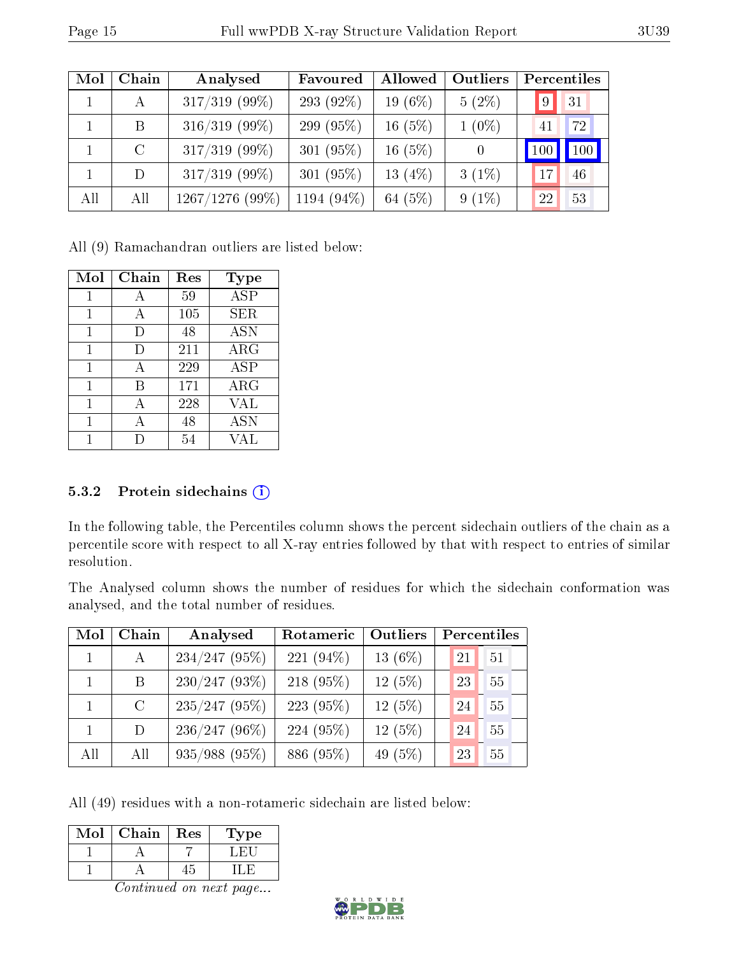| Mol | Chain   | Analysed          | Favoured     | Allowed    | Outliers       |             | Percentiles |
|-----|---------|-------------------|--------------|------------|----------------|-------------|-------------|
|     | A       | $317/319$ (99%)   | 293 (92%)    | $19(6\%)$  | $5(2\%)$       | $ 9\rangle$ | 31          |
|     | Β       | $316/319$ (99%)   | 299 (95%)    | $16(5\%)$  | $1(0\%)$       | 41          | 72          |
|     | $\rm C$ | $317/319$ (99%)   | 301 $(95\%)$ | $16(5\%)$  | $\overline{0}$ | 100         | 100         |
|     | D.      | $317/319$ (99%)   | 301 $(95\%)$ | 13 $(4\%)$ | $3(1\%)$       | 17          | 46          |
| All | All     | $1267/1276$ (99%) | 1194 (94%)   | 64 $(5%)$  | $9(1\%)$       | 22          | 53          |

All (9) Ramachandran outliers are listed below:

| Mol | Chain        | Res | <b>Type</b>             |
|-----|--------------|-----|-------------------------|
| 1   | А            | 59  | $\overline{\text{ASP}}$ |
|     |              | 105 | <b>SER</b>              |
|     | $\mathsf{D}$ | 48  | <b>ASN</b>              |
| 1   | I)           | 211 | $\rm{ARG}$              |
| 1   | А            | 229 | <b>ASP</b>              |
| 1   | В            | 171 | $\rm{ARG}$              |
|     |              | 228 | VAL                     |
| 1   | А            | 48  | <b>ASN</b>              |
|     |              | 54  | VAL                     |

#### 5.3.2 Protein sidechains  $(i)$

In the following table, the Percentiles column shows the percent sidechain outliers of the chain as a percentile score with respect to all X-ray entries followed by that with respect to entries of similar resolution.

The Analysed column shows the number of residues for which the sidechain conformation was analysed, and the total number of residues.

| Mol | Chain         | Analysed        | Rotameric    | Outliers  |    | Percentiles |
|-----|---------------|-----------------|--------------|-----------|----|-------------|
|     | A             | $234/247$ (95%) | 221 $(94\%)$ | 13 $(6%)$ | 21 | 51          |
|     | B.            | $230/247(93\%)$ | $218(95\%)$  | 12(5%)    | 23 | 55          |
|     | $\mathcal{C}$ | $235/247$ (95%) | 223(95%)     | 12(5%)    | 24 | 55          |
|     | D             | $236/247(96\%)$ | 224 (95%)    | 12(5%)    | 24 | 55          |
| All | All           | 935/988 (95%)   | 886 (95%)    | 49 $(5%)$ | 23 | 55          |

All (49) residues with a non-rotameric sidechain are listed below:

| Mol | Chain | Res | Type |
|-----|-------|-----|------|
|     |       |     |      |
|     |       |     |      |

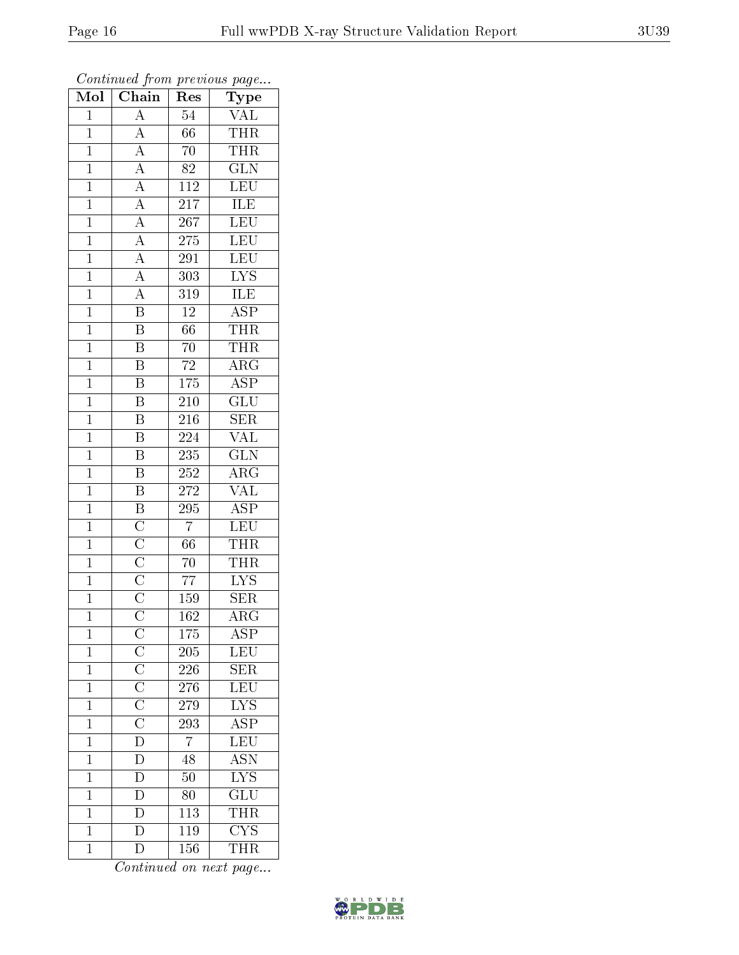| Mol            | $\overline{\text{Chain}}$                                                                                                                                                                                               | Res              | $\overline{\phantom{a}}$<br>Type |
|----------------|-------------------------------------------------------------------------------------------------------------------------------------------------------------------------------------------------------------------------|------------------|----------------------------------|
| $\mathbf{1}$   | $\mathbf{A}$                                                                                                                                                                                                            | 54               | $\frac{\text{VAL}}{\text{THR}}$  |
| $\overline{1}$ | $\overline{A}$                                                                                                                                                                                                          | 66               |                                  |
| $\mathbf{1}$   |                                                                                                                                                                                                                         | 70               | <b>THR</b>                       |
| $\overline{1}$ |                                                                                                                                                                                                                         | 82               | $\overline{\text{GLN}}$          |
| $\overline{1}$ | $\frac{\overline{A}}{\overline{A}}$ $\frac{\overline{A}}{\overline{A}}$ $\frac{\overline{A}}{\overline{A}}$ $\frac{\overline{A}}{\overline{A}}$ $\frac{\overline{A}}{\overline{A}}$ $\frac{\overline{A}}{\overline{B}}$ | $\overline{112}$ | LEU                              |
| $\mathbf{1}$   |                                                                                                                                                                                                                         | $\overline{217}$ | ILE                              |
| $\mathbf{1}$   |                                                                                                                                                                                                                         | 267              | LEU                              |
| $\mathbf{1}$   |                                                                                                                                                                                                                         | 275              | LEU                              |
| $\bar{1}$      |                                                                                                                                                                                                                         | 291              | LEU                              |
| $\overline{1}$ |                                                                                                                                                                                                                         | $\overline{303}$ | $\overline{\text{LYS}}$          |
| $\mathbf{1}$   |                                                                                                                                                                                                                         | 319              | $\overline{\text{ILE}}$          |
| $\mathbf{1}$   |                                                                                                                                                                                                                         | $\overline{12}$  | $\overline{\text{ASP}}$          |
| $\overline{1}$ | $\overline{\mathbf{B}}$                                                                                                                                                                                                 | $\overline{66}$  | <b>THR</b>                       |
| $\overline{1}$ | $\overline{B}$                                                                                                                                                                                                          | $\overline{70}$  | <b>THR</b>                       |
| $\overline{1}$ | $\overline{\mathrm{B}}$                                                                                                                                                                                                 | $\overline{72}$  | $\overline{\text{ARG}}$          |
| $\mathbf{1}$   | $\overline{\mathrm{B}}$                                                                                                                                                                                                 | $175\,$          | $\overline{\text{ASP}}$          |
| $\overline{1}$ | $\overline{\mathrm{B}}$                                                                                                                                                                                                 | $\overline{210}$ | $\overline{\text{GLU}}$          |
| $\mathbf{1}$   | $\overline{\mathbf{B}}$                                                                                                                                                                                                 | 216              | SER                              |
| $\overline{1}$ | $\overline{\mathrm{B}}$                                                                                                                                                                                                 | 224              | $\overline{\text{VAL}}$          |
| $\overline{1}$ | $\overline{\mathrm{B}}$                                                                                                                                                                                                 | 235              | $\overline{\text{GLN}}$          |
| $\overline{1}$ | $\overline{B}$                                                                                                                                                                                                          | 252              | $\overline{\rm ARG}$             |
| $\overline{1}$ | $\overline{B}$                                                                                                                                                                                                          | 272              | <b>VAL</b>                       |
| $\overline{1}$ | $\overline{B}$                                                                                                                                                                                                          | 295              | $\overline{\text{ASP}}$          |
| $\overline{1}$ | $\frac{\overline{C}}{\overline{C}}$ $\frac{\overline{C}}{\overline{C}}$                                                                                                                                                 | $\overline{7}$   | LEU                              |
| $\mathbf{1}$   |                                                                                                                                                                                                                         | 66               | <b>THR</b>                       |
| $\mathbf{1}$   |                                                                                                                                                                                                                         | $70\,$           | <b>THR</b>                       |
| $\overline{1}$ |                                                                                                                                                                                                                         | $\overline{77}$  | $\overline{\text{LYS}}$          |
| $\overline{1}$ |                                                                                                                                                                                                                         | 159              | <b>SER</b>                       |
| $\overline{1}$ | $\overline{\rm C}$                                                                                                                                                                                                      | $\overline{162}$ | $\overline{\rm{ARG}}$            |
| $\mathbf{1}$   |                                                                                                                                                                                                                         | 175              | <b>ASP</b>                       |
| $\mathbf{1}$   | $C\overline{C}\overline{C}\overline{C}\overline{C}\overline{C}$<br>$\overline{D}\overline{D}$                                                                                                                           | 205              | $\textrm{LEU}$                   |
| $\mathbf{1}$   |                                                                                                                                                                                                                         | 226              | $\overline{\text{SER}}$          |
| $\mathbf 1$    |                                                                                                                                                                                                                         | 276              | LEU                              |
| $\overline{1}$ |                                                                                                                                                                                                                         | 279              | $\overline{\text{LYS}}$          |
| $\mathbf 1$    |                                                                                                                                                                                                                         | 293              | $\overline{\text{ASP}}$          |
| $\mathbf 1$    |                                                                                                                                                                                                                         | $\overline{7}$   | $\overline{\text{LEU}}$          |
| $\mathbf 1$    |                                                                                                                                                                                                                         | 48               | <b>ASN</b>                       |
| $\overline{1}$ | $\overline{\rm D}$                                                                                                                                                                                                      | 50               | $\overline{\rm LYS}$             |
| $\mathbf 1$    | $\overline{D}$                                                                                                                                                                                                          | 80               | $\overline{\text{GLU}}$          |
| $\mathbf 1$    | $\frac{\overline{D}}{D}$                                                                                                                                                                                                | 113              | <b>THR</b>                       |
| $\mathbf{1}$   |                                                                                                                                                                                                                         | <b>119</b>       | $\overline{\text{CYS}}$          |
| $\overline{1}$ | $\overline{\rm D}$                                                                                                                                                                                                      | 156              | <b>THR</b>                       |

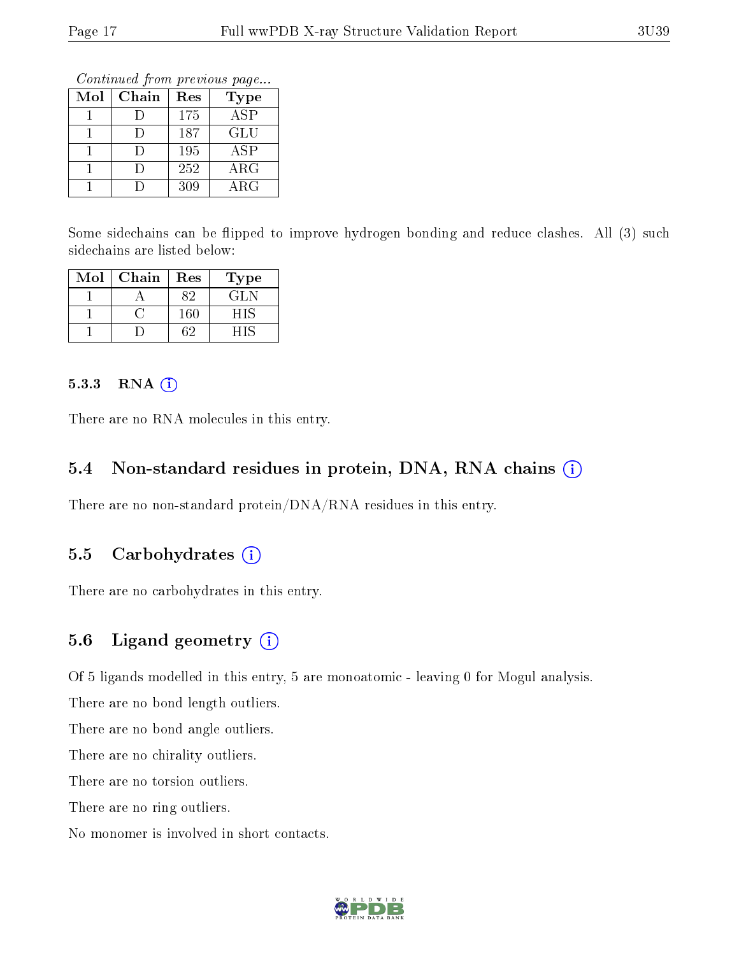Continued from previous page...

| Mol | Chain | Res | Type                    |
|-----|-------|-----|-------------------------|
|     |       | 175 | $\overline{\text{ASP}}$ |
|     |       | 187 | GLU                     |
|     |       | 195 | ASP                     |
|     |       | 252 | $\rm{ARG}$              |
|     |       | 309 | $\rm{ARG}$              |

Some sidechains can be flipped to improve hydrogen bonding and reduce clashes. All (3) such sidechains are listed below:

| Mol | Chain | Res | Type |
|-----|-------|-----|------|
|     |       |     | GL N |
|     |       | 160 | НIS  |
|     |       |     |      |

#### 5.3.3 RNA (i)

There are no RNA molecules in this entry.

### 5.4 Non-standard residues in protein, DNA, RNA chains (i)

There are no non-standard protein/DNA/RNA residues in this entry.

#### 5.5 Carbohydrates  $(i)$

There are no carbohydrates in this entry.

#### 5.6 Ligand geometry (i)

Of 5 ligands modelled in this entry, 5 are monoatomic - leaving 0 for Mogul analysis.

There are no bond length outliers.

There are no bond angle outliers.

There are no chirality outliers.

There are no torsion outliers.

There are no ring outliers.

No monomer is involved in short contacts.

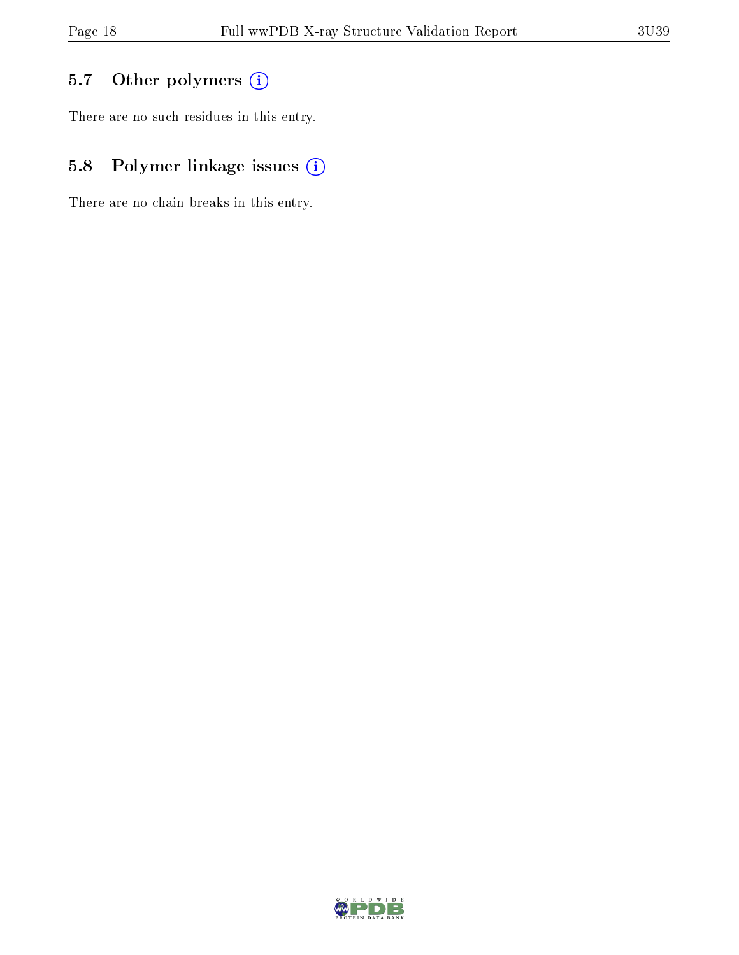# 5.7 [O](https://www.wwpdb.org/validation/2017/XrayValidationReportHelp#nonstandard_residues_and_ligands)ther polymers (i)

There are no such residues in this entry.

# 5.8 Polymer linkage issues (i)

There are no chain breaks in this entry.

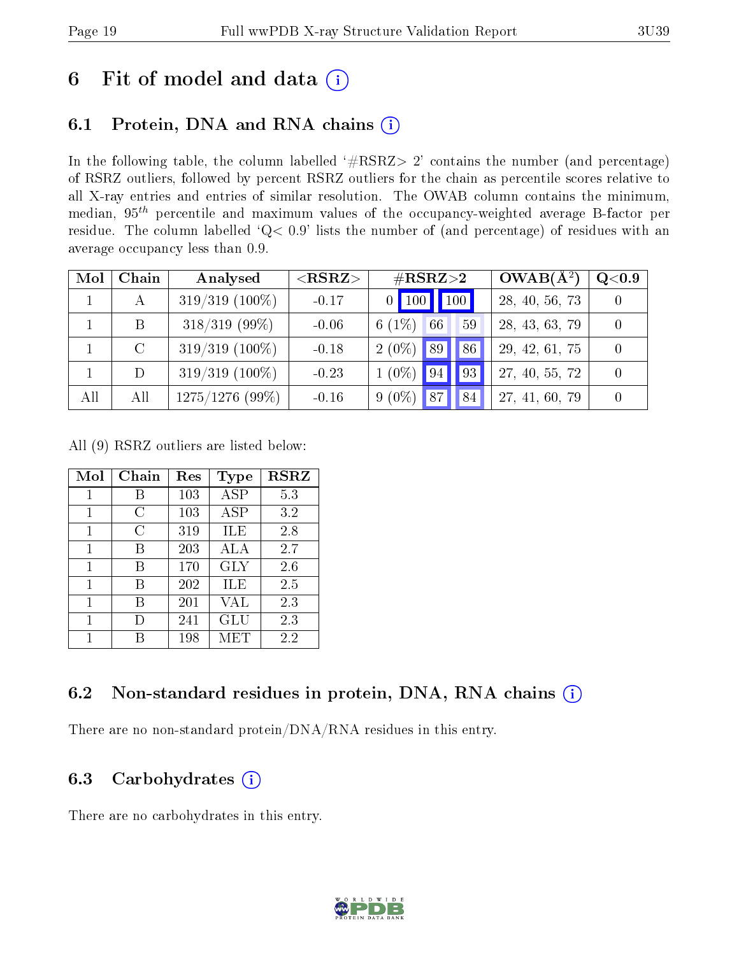# 6 Fit of model and data  $(i)$

### 6.1 Protein, DNA and RNA chains  $(i)$

In the following table, the column labelled  $#RSRZ> 2'$  contains the number (and percentage) of RSRZ outliers, followed by percent RSRZ outliers for the chain as percentile scores relative to all X-ray entries and entries of similar resolution. The OWAB column contains the minimum, median,  $95<sup>th</sup>$  percentile and maximum values of the occupancy-weighted average B-factor per residue. The column labelled ' $Q< 0.9$ ' lists the number of (and percentage) of residues with an average occupancy less than 0.9.

| Mol | Chain         | Analysed          | $<$ RSRZ $>$ | $\#\text{RSRZ}{>}2$                                          | $OWAB(A^2)$    | Q <sub>0.9</sub> |
|-----|---------------|-------------------|--------------|--------------------------------------------------------------|----------------|------------------|
|     |               | $319/319$ (100%)  | $-0.17$      | $\vert$ 100 $\vert$<br>$\vert$ 100 $\vert$<br>0 <sup>1</sup> | 28, 40, 56, 73 |                  |
|     | В             | $318/319$ (99%)   | $-0.06$      | 6 $(1%)$<br>66<br>59                                         | 28, 43, 63, 79 |                  |
|     | $\mathcal{C}$ | $319/319$ (100%)  | $-0.18$      | $2(0\%)$<br>86<br>89                                         | 29, 42, 61, 75 |                  |
|     | D             | $319/319$ (100%)  | $-0.23$      | $1(0\%)$<br> 93 <br>94                                       | 27, 40, 55, 72 |                  |
| All | All           | $1275/1276$ (99%) | $-0.16$      | $9(0\%)$<br>87<br>84                                         | 27, 41, 60, 79 |                  |

All (9) RSRZ outliers are listed below:

| Mol | Chain  | Res | Type       | <b>RSRZ</b> |
|-----|--------|-----|------------|-------------|
| 1   | В      | 103 | ASP        | 5.3         |
| 1   | C      | 103 | <b>ASP</b> | 3.2         |
| 1   | C      | 319 | ILE        | 2.8         |
| 1   | В      | 203 | ALA        | 2.7         |
| 1   | В      | 170 | <b>GLY</b> | 2.6         |
| 1   | В      | 202 | ILE        | 2.5         |
| 1   | R      | 201 | VAL        | 2.3         |
| 1   | $\Box$ | 241 | GLU        | 2.3         |
|     |        | 198 | MET        | 2.2         |

### 6.2 Non-standard residues in protein, DNA, RNA chains (i)

There are no non-standard protein/DNA/RNA residues in this entry.

#### 6.3 Carbohydrates  $(i)$

There are no carbohydrates in this entry.